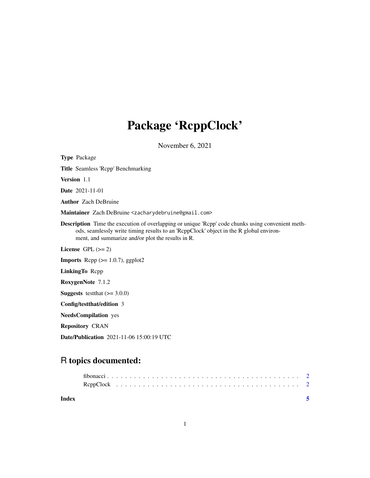## Package 'RcppClock'

November 6, 2021

Type Package Title Seamless 'Rcpp' Benchmarking Version 1.1 Date 2021-11-01 Author Zach DeBruine Maintainer Zach DeBruine <zacharydebruine@gmail.com> Description Time the execution of overlapping or unique 'Rcpp' code chunks using convenient methods, seamlessly write timing results to an 'RcppClock' object in the R global environment, and summarize and/or plot the results in R. License GPL  $(>= 2)$ **Imports** Rcpp  $(>= 1.0.7)$ , ggplot2 LinkingTo Rcpp RoxygenNote 7.1.2 **Suggests** testthat  $(>= 3.0.0)$ Config/testthat/edition 3 NeedsCompilation yes Repository CRAN

Date/Publication 2021-11-06 15:00:19 UTC

### R topics documented:

| Index |  |  |  |  |  |  |  |  |  |  |  |  |  |  |  |  |  |  |
|-------|--|--|--|--|--|--|--|--|--|--|--|--|--|--|--|--|--|--|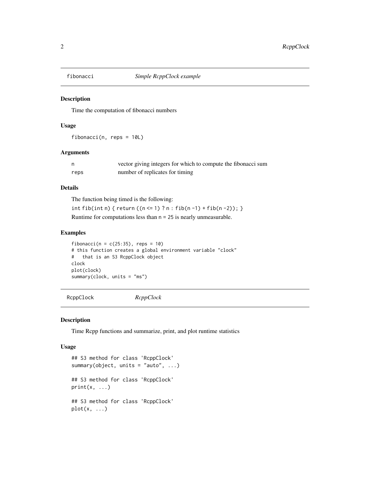<span id="page-1-1"></span><span id="page-1-0"></span>

#### Description

Time the computation of fibonacci numbers

#### Usage

fibonacci(n, reps = 10L)

#### Arguments

| n.   | vector giving integers for which to compute the fibonacci sum |
|------|---------------------------------------------------------------|
| reps | number of replicates for timing                               |

#### Details

The function being timed is the following:

int fib(int n) { return ((n <= 1) ? n : fib(n -1) + fib(n -2)); }

Runtime for computations less than n = 25 is nearly unmeasurable.

#### Examples

fibonacci( $n = c(25:35)$ , reps = 10) # this function creates a global environment variable "clock" # that is an S3 RcppClock object clock plot(clock) summary(clock, units = "ms")

#### RcppClock *RcppClock*

#### Description

Time Rcpp functions and summarize, print, and plot runtime statistics

#### Usage

```
## S3 method for class 'RcppClock'
summary(object, units = "auto", ...)
## S3 method for class 'RcppClock'
print(x, \ldots)## S3 method for class 'RcppClock'
plot(x, \ldots)
```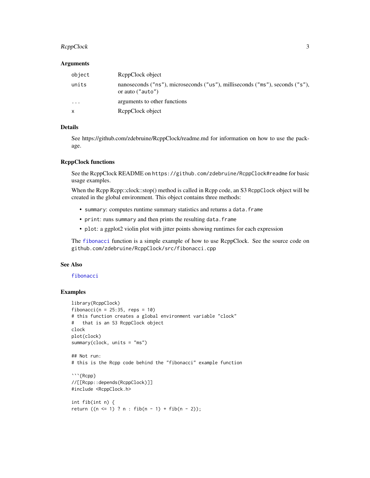#### <span id="page-2-0"></span>RcppClock 3

#### Arguments

| object       | ReppClock object                                                                                   |
|--------------|----------------------------------------------------------------------------------------------------|
| units        | nanoseconds ("ns"), microseconds ("us"), milliseconds ("ms"), seconds ("s"),<br>or auto $("auto")$ |
| $\cdots$     | arguments to other functions                                                                       |
| $\mathsf{x}$ | ReppClock object                                                                                   |

#### Details

See https://github.com/zdebruine/RcppClock/readme.md for information on how to use the package.

#### RcppClock functions

See the RcppClock README on https://github.com/zdebruine/RcppClock#readme for basic usage examples.

When the Rcpp Rcpp::clock::stop() method is called in Rcpp code, an S3 RcppClock object will be created in the global environment. This object contains three methods:

- summary: computes runtime summary statistics and returns a data.frame
- print: runs summary and then prints the resulting data.frame
- plot: a ggplot2 violin plot with jitter points showing runtimes for each expression

The [fibonacci](#page-1-1) function is a simple example of how to use RcppClock. See the source code on github.com/zdebruine/RcppClock/src/fibonacci.cpp

#### See Also

#### [fibonacci](#page-1-1)

#### Examples

```
library(RcppClock)
fibonacci(n = 25:35, reps = 10)
# this function creates a global environment variable "clock"
# that is an S3 RcppClock object
clock
plot(clock)
summary(clock, units = "ms")
## Not run:
# this is the Rcpp code behind the "fibonacci" example function
```{Rcpp}
//[[Rcpp::depends(RcppClock)]]
#include <RcppClock.h>
int fib(int n) {
return ((n <= 1) ? n : fib(n - 1) + fib(n - 2));
```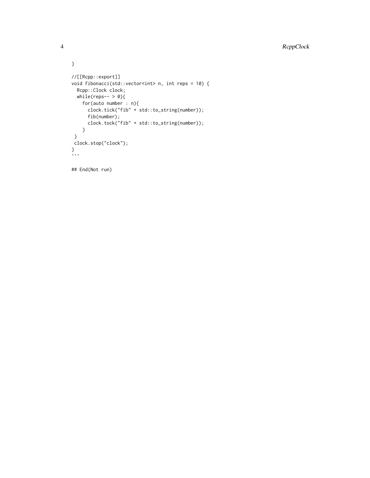```
}
//[[Rcpp::export]]
void fibonacci(std::vector<int> n, int reps = 10) {
 Rcpp::Clock clock;
 while(reps-- > 0){
   for(auto number : n){
      clock.tick("fib" + std::to_string(number));
     fib(number);
     clock.tock("fib" + std::to_string(number));
    }
 }
clock.stop("clock");
}
\sum
```
## End(Not run)